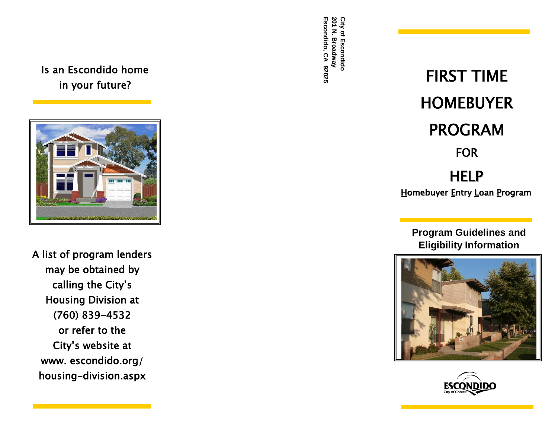## Is an Escondido home in your future?



A list of program lenders may be obtained by calling the City's Housing Division at (760) 839 -4532 or refer to the City's website at www. escondido.org housing-division.aspx

# H E L P <u>H</u>omebuyer <u>E</u>ntry <u>L</u>oan <u>P</u>rogram FIRST TIME HOMEBUYER PROGRAM FOR FOR<br> *Escondidos*<br> *Escondidos*<br> *EIRST T*<br> *CA PROGR*<br>
FOR

**Program Guidelines and Eligibility Information**